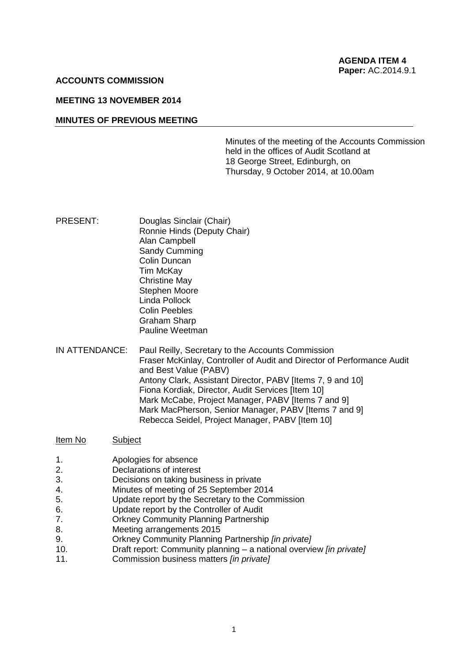#### **ACCOUNTS COMMISSION**

### **MEETING 13 NOVEMBER 2014**

#### **MINUTES OF PREVIOUS MEETING**

Minutes of the meeting of the Accounts Commission held in the offices of Audit Scotland at 18 George Street, Edinburgh, on Thursday, 9 October 2014, at 10.00am

- PRESENT: Douglas Sinclair (Chair) Ronnie Hinds (Deputy Chair) Alan Campbell Sandy Cumming Colin Duncan Tim McKay Christine May Stephen Moore Linda Pollock Colin Peebles Graham Sharp Pauline Weetman
- IN ATTENDANCE: Paul Reilly, Secretary to the Accounts Commission Fraser McKinlay, Controller of Audit and Director of Performance Audit and Best Value (PABV) Antony Clark, Assistant Director, PABV [Items 7, 9 and 10] Fiona Kordiak, Director, Audit Services [Item 10] Mark McCabe, Project Manager, PABV [Items 7 and 9] Mark MacPherson, Senior Manager, PABV [Items 7 and 9] Rebecca Seidel, Project Manager, PABV [Item 10]

#### Item No Subject

- 1. Apologies for absence
- 2. Declarations of interest
- 3. Decisions on taking business in private
- 4. Minutes of meeting of 25 September 2014
- 5. Update report by the Secretary to the Commission
- 6. Update report by the Controller of Audit
- 7. Orkney Community Planning Partnership
- 8. Meeting arrangements 2015
- 9. Orkney Community Planning Partnership *[in private]*
- 10. Draft report: Community planning a national overview *[in private]*
- 11. Commission business matters *[in private]*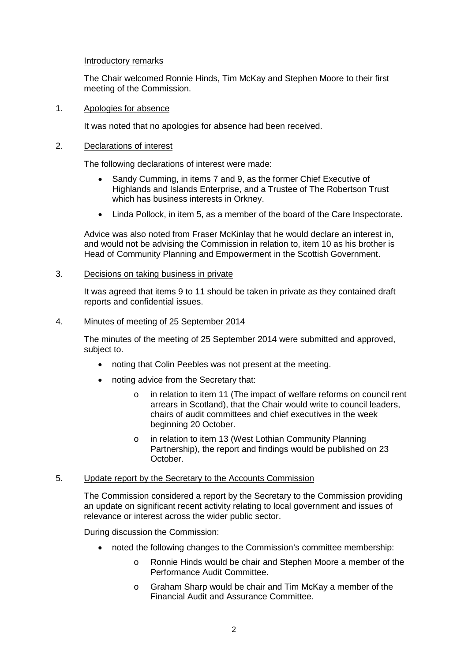## Introductory remarks

The Chair welcomed Ronnie Hinds, Tim McKay and Stephen Moore to their first meeting of the Commission.

### 1. Apologies for absence

It was noted that no apologies for absence had been received.

## 2. Declarations of interest

The following declarations of interest were made:

- Sandy Cumming, in items 7 and 9, as the former Chief Executive of Highlands and Islands Enterprise, and a Trustee of The Robertson Trust which has business interests in Orkney.
- Linda Pollock, in item 5, as a member of the board of the Care Inspectorate.

Advice was also noted from Fraser McKinlay that he would declare an interest in, and would not be advising the Commission in relation to, item 10 as his brother is Head of Community Planning and Empowerment in the Scottish Government.

## 3. Decisions on taking business in private

It was agreed that items 9 to 11 should be taken in private as they contained draft reports and confidential issues.

## 4. Minutes of meeting of 25 September 2014

The minutes of the meeting of 25 September 2014 were submitted and approved, subject to.

- noting that Colin Peebles was not present at the meeting.
- noting advice from the Secretary that:
	- o in relation to item 11 (The impact of welfare reforms on council rent arrears in Scotland), that the Chair would write to council leaders, chairs of audit committees and chief executives in the week beginning 20 October.
	- o in relation to item 13 (West Lothian Community Planning Partnership), the report and findings would be published on 23 October.

### 5. Update report by the Secretary to the Accounts Commission

The Commission considered a report by the Secretary to the Commission providing an update on significant recent activity relating to local government and issues of relevance or interest across the wider public sector.

During discussion the Commission:

- noted the following changes to the Commission's committee membership:
	- o Ronnie Hinds would be chair and Stephen Moore a member of the Performance Audit Committee.
	- o Graham Sharp would be chair and Tim McKay a member of the Financial Audit and Assurance Committee.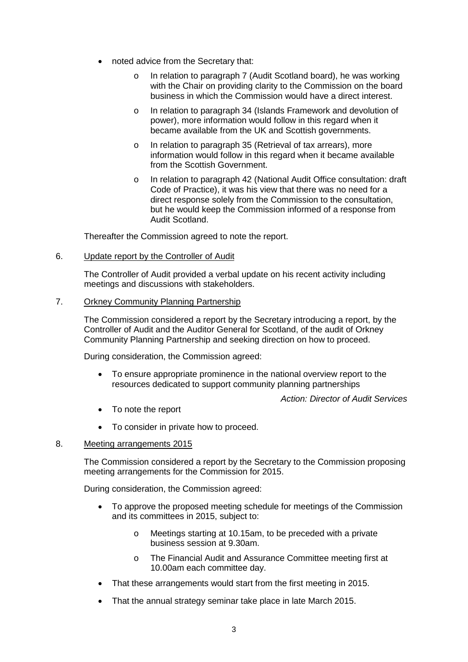- noted advice from the Secretary that:
	- o In relation to paragraph 7 (Audit Scotland board), he was working with the Chair on providing clarity to the Commission on the board business in which the Commission would have a direct interest.
	- o In relation to paragraph 34 (Islands Framework and devolution of power), more information would follow in this regard when it became available from the UK and Scottish governments.
	- o In relation to paragraph 35 (Retrieval of tax arrears), more information would follow in this regard when it became available from the Scottish Government.
	- o In relation to paragraph 42 (National Audit Office consultation: draft Code of Practice), it was his view that there was no need for a direct response solely from the Commission to the consultation, but he would keep the Commission informed of a response from Audit Scotland.

Thereafter the Commission agreed to note the report.

# 6. Update report by the Controller of Audit

The Controller of Audit provided a verbal update on his recent activity including meetings and discussions with stakeholders.

7. Orkney Community Planning Partnership

The Commission considered a report by the Secretary introducing a report, by the Controller of Audit and the Auditor General for Scotland, of the audit of Orkney Community Planning Partnership and seeking direction on how to proceed.

During consideration, the Commission agreed:

• To ensure appropriate prominence in the national overview report to the resources dedicated to support community planning partnerships

*Action: Director of Audit Services*

- To note the report
- To consider in private how to proceed.

# 8. Meeting arrangements 2015

The Commission considered a report by the Secretary to the Commission proposing meeting arrangements for the Commission for 2015.

During consideration, the Commission agreed:

- To approve the proposed meeting schedule for meetings of the Commission and its committees in 2015, subject to:
	- o Meetings starting at 10.15am, to be preceded with a private business session at 9.30am.
	- o The Financial Audit and Assurance Committee meeting first at 10.00am each committee day.
- That these arrangements would start from the first meeting in 2015.
- That the annual strategy seminar take place in late March 2015.